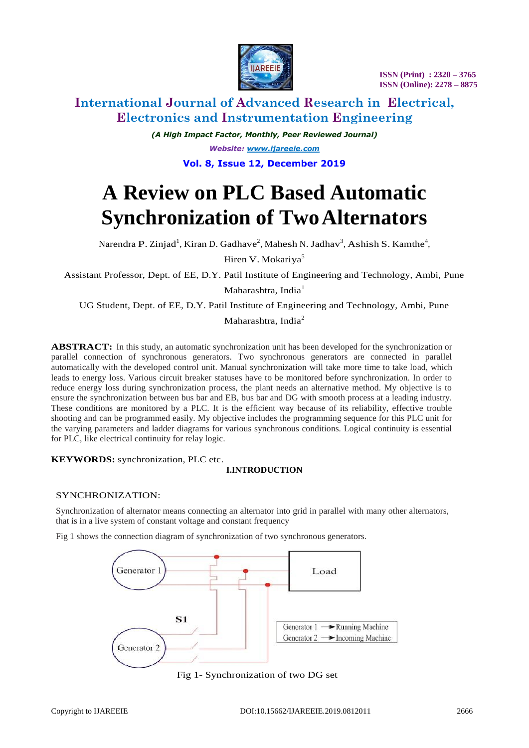

*(A High Impact Factor, Monthly, Peer Reviewed Journal) Website: [www.ijareeie.com](http://www.ijareeie.com/)* **Vol. 8, Issue 12, December 2019**

# **A Review on PLC Based Automatic Synchronization of Two Alternators**

Narendra P. Zinjad<sup>1</sup>, Kiran D. Gadhave<sup>2</sup>, Mahesh N. Jadhav<sup>3</sup>, Ashish S. Kamthe<sup>4</sup>, Hiren V. Mokariya<sup>5</sup>

Assistant Professor, Dept. of EE, D.Y. Patil Institute of Engineering and Technology, Ambi, Pune

Maharashtra, India<sup>1</sup>

UG Student, Dept. of EE, D.Y. Patil Institute of Engineering and Technology, Ambi, Pune

Maharashtra, India<sup>2</sup>

**ABSTRACT:** In this study, an automatic synchronization unit has been developed for the synchronization or parallel connection of synchronous generators. Two synchronous generators are connected in parallel automatically with the developed control unit. Manual synchronization will take more time to take load, which leads to energy loss. Various circuit breaker statuses have to be monitored before synchronization. In order to reduce energy loss during synchronization process, the plant needs an alternative method. My objective is to ensure the synchronization between bus bar and EB, bus bar and DG with smooth process at a leading industry. These conditions are monitored by a PLC. It is the efficient way because of its reliability, effective trouble shooting and can be programmed easily. My objective includes the programming sequence for this PLC unit for the varying parameters and ladder diagrams for various synchronous conditions. Logical continuity is essential for PLC, like electrical continuity for relay logic.

**KEYWORDS:** synchronization, PLC etc.

## **I.INTRODUCTION**

## SYNCHRONIZATION:

Synchronization of alternator means connecting an alternator into grid in parallel with many other alternators, that is in a live system of constant voltage and constant frequency

Fig 1 shows the connection diagram of synchronization of two synchronous generators.



Fig 1- Synchronization of two DG set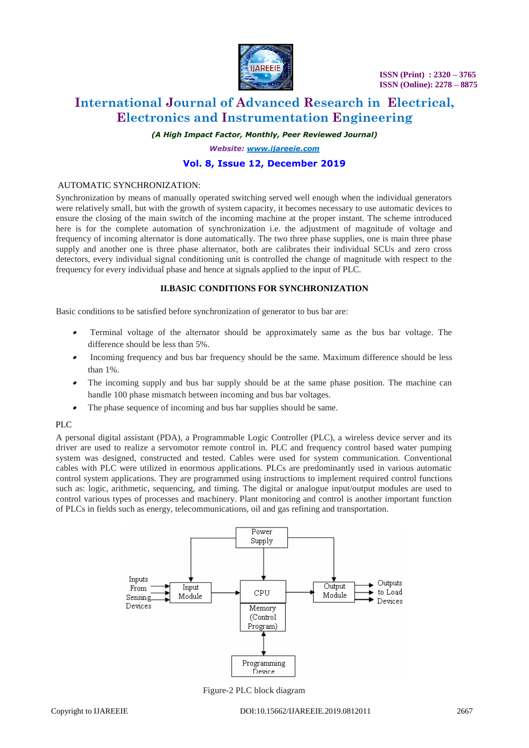

 **ISSN (Print) : 2320 – 3765 ISSN (Online): 2278 – 8875**

## **International Journal of Advanced Research in Electrical, Electronics and Instrumentation Engineering**

*(A High Impact Factor, Monthly, Peer Reviewed Journal)*

*Website: [www.ijareeie.com](http://www.ijareeie.com/)*

## **Vol. 8, Issue 12, December 2019**

## AUTOMATIC SYNCHRONIZATION:

Synchronization by means of manually operated switching served well enough when the individual generators were relatively small, but with the growth of system capacity, it becomes necessary to use automatic devices to ensure the closing of the main switch of the incoming machine at the proper instant. The scheme introduced here is for the complete automation of synchronization i.e. the adjustment of magnitude of voltage and frequency of incoming alternator is done automatically. The two three phase supplies, one is main three phase supply and another one is three phase alternator, both are calibrates their individual SCUs and zero cross detectors, every individual signal conditioning unit is controlled the change of magnitude with respect to the frequency for every individual phase and hence at signals applied to the input of PLC.

## **II.BASIC CONDITIONS FOR SYNCHRONIZATION**

Basic conditions to be satisfied before synchronization of generator to bus bar are:

- . Terminal voltage of the alternator should be approximately same as the bus bar voltage. The difference should be less than 5%.
- Incoming frequency and bus bar frequency should be the same. Maximum difference should be less than 1%.
- . The incoming supply and bus bar supply should be at the same phase position. The machine can handle 100 phase mismatch between incoming and bus bar voltages.
- . The phase sequence of incoming and bus bar supplies should be same.

## PLC

A personal digital assistant (PDA), a Programmable Logic Controller (PLC), a wireless device server and its driver are used to realize a servomotor remote control in. PLC and frequency control based water pumping system was designed, constructed and tested. Cables were used for system communication. Conventional cables with PLC were utilized in enormous applications. PLCs are predominantly used in various automatic control system applications. They are programmed using instructions to implement required control functions such as: logic, arithmetic, sequencing, and timing. The digital or analogue input/output modules are used to control various types of processes and machinery. Plant monitoring and control is another important function of PLCs in fields such as energy, telecommunications, oil and gas refining and transportation.



Figure-2 PLC block diagram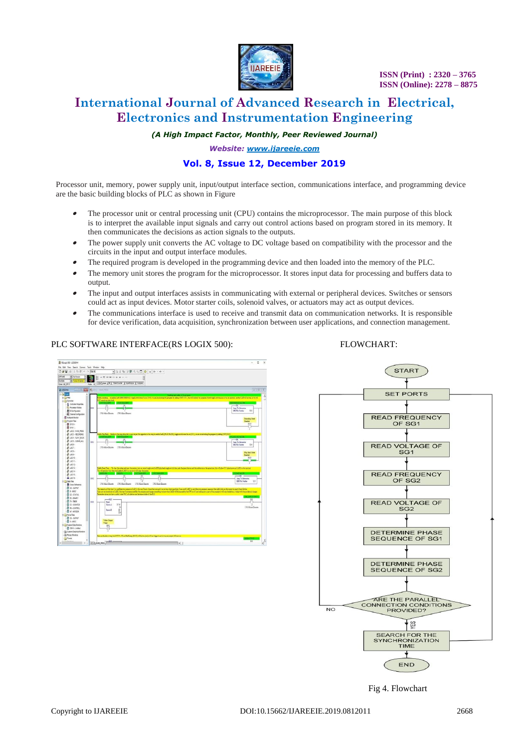

*(A High Impact Factor, Monthly, Peer Reviewed Journal)*

*Website: [www.ijareeie.com](http://www.ijareeie.com/)*

## **Vol. 8, Issue 12, December 2019**

Processor unit, memory, power supply unit, input/output interface section, communications interface, and programming device are the basic building blocks of PLC as shown in Figure

- The processor unit or central processing unit (CPU) contains the microprocessor. The main purpose of this block is to interpret the available input signals and carry out control actions based on program stored in its memory. It then communicates the decisions as action signals to the outputs.
- The power supply unit converts the AC voltage to DC voltage based on compatibility with the processor and the circuits in the input and output interface modules.
- The required program is developed in the programming device and then loaded into the memory of the PLC.
- The memory unit stores the program for the microprocessor. It stores input data for processing and buffers data to output.
- The input and output interfaces assists in communicating with external or peripheral devices. Switches or sensors could act as input devices. Motor starter coils, solenoid valves, or actuators may act as output devices.
- . The communications interface is used to receive and transmit data on communication networks. It is responsible for device verification, data acquisition, synchronization between user applications, and connection management.

#### PLC SOFTWARE INTERFACE(RS LOGIX 500):FLOWCHART:





Fig 4. Flowchart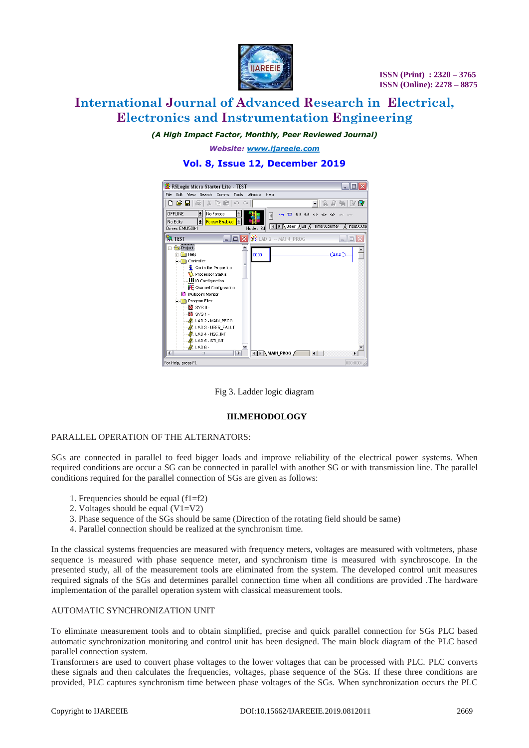

*(A High Impact Factor, Monthly, Peer Reviewed Journal)*

*Website: [www.ijareeie.com](http://www.ijareeie.com/)*

#### RSLogix Micro Starter Lite - TEST  $||$   $||$   $\times$ File Edit View Search Comms Tools Window Help 기요 職 マ 鳳 **OFFLINE**  $\boxed{\underline{\bullet}}$  No Forces  $\overline{\mathbb{E}}$ 知  $\overline{u}$  as as  $\Leftrightarrow \infty$  $\vert \vert$  $\begin{array}{|l|l|l|l|} \hline \text{No Edits} & \underline{\textbf{E}} \\ \hline \text{No Edits} & \underline{\textbf{E}} \\ \hline \text{Driver: EMUS00-1} & \hline \end{array}$  $\mathbf{E}$ | 4 | ▶ | Nuser A Bit A Timer/Counter A Input/Outp Node: 2d **R** TEST  $\Box$  $\Box$  $\times$   $\mathcal{K}$  LAD 2  $\cdots$  MAIN\_PROG Project  $\overline{\mathbf{r}}$ **E**-**C** Help ioo **Controller** Controller Properties Processor Status **III** IO Configuration Channel Configuration Multipoint Monitor Program Files  $S$  sys  $0 -$ SYS1-MX LAD 2 - MAIN\_PROG<br>MX LAD 3 - USER\_FAULT A LAD 4 - HSC\_INT **M** LAD 5 - STINT  $\mathbf{N}$  LAD 6 - $\overline{\phantom{a}}$ **ID** MAIN\_PROG  $\overline{\phantom{a}}$ For Help, press F1

## **Vol. 8, Issue 12, December 2019**

Fig 3. Ladder logic diagram

## **III.MEHODOLOGY**

## PARALLEL OPERATION OF THE ALTERNATORS:

SGs are connected in parallel to feed bigger loads and improve reliability of the electrical power systems. When required conditions are occur a SG can be connected in parallel with another SG or with transmission line. The parallel conditions required for the parallel connection of SGs are given as follows:

- 1. Frequencies should be equal (f1=f2)
- 2. Voltages should be equal  $(V1=V2)$
- 3. Phase sequence of the SGs should be same (Direction of the rotating field should be same)
- 4. Parallel connection should be realized at the synchronism time.

In the classical systems frequencies are measured with frequency meters, voltages are measured with voltmeters, phase sequence is measured with phase sequence meter, and synchronism time is measured with synchroscope. In the presented study, all of the measurement tools are eliminated from the system. The developed control unit measures required signals of the SGs and determines parallel connection time when all conditions are provided .The hardware implementation of the parallel operation system with classical measurement tools.

## AUTOMATIC SYNCHRONIZATION UNIT

To eliminate measurement tools and to obtain simplified, precise and quick parallel connection for SGs PLC based automatic synchronization monitoring and control unit has been designed. The main block diagram of the PLC based parallel connection system.

Transformers are used to convert phase voltages to the lower voltages that can be processed with PLC. PLC converts these signals and then calculates the frequencies, voltages, phase sequence of the SGs. If these three conditions are provided, PLC captures synchronism time between phase voltages of the SGs. When synchronization occurs the PLC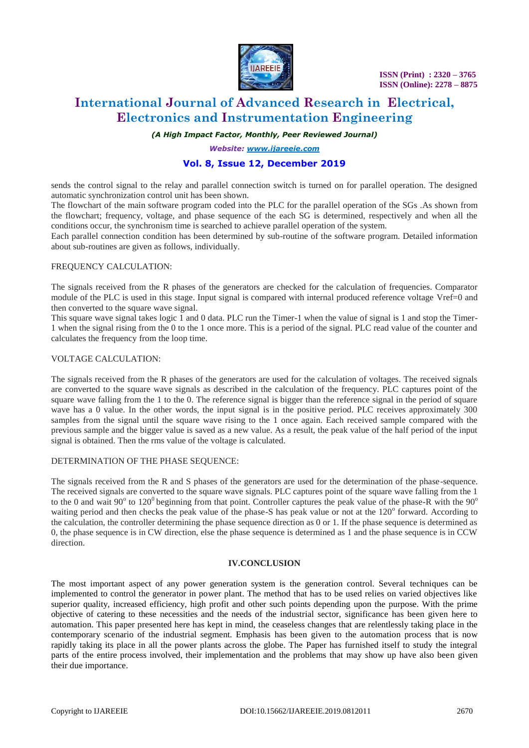

## *(A High Impact Factor, Monthly, Peer Reviewed Journal)*

*Website: [www.ijareeie.com](http://www.ijareeie.com/)*

## **Vol. 8, Issue 12, December 2019**

sends the control signal to the relay and parallel connection switch is turned on for parallel operation. The designed automatic synchronization control unit has been shown.

The flowchart of the main software program coded into the PLC for the parallel operation of the SGs .As shown from the flowchart; frequency, voltage, and phase sequence of the each SG is determined, respectively and when all the conditions occur, the synchronism time is searched to achieve parallel operation of the system.

Each parallel connection condition has been determined by sub-routine of the software program. Detailed information about sub-routines are given as follows, individually.

## FREQUENCY CALCULATION:

The signals received from the R phases of the generators are checked for the calculation of frequencies. Comparator module of the PLC is used in this stage. Input signal is compared with internal produced reference voltage Vref=0 and then converted to the square wave signal.

This square wave signal takes logic 1 and 0 data. PLC run the Timer-1 when the value of signal is 1 and stop the Timer-1 when the signal rising from the 0 to the 1 once more. This is a period of the signal. PLC read value of the counter and calculates the frequency from the loop time.

## VOLTAGE CALCULATION:

The signals received from the R phases of the generators are used for the calculation of voltages. The received signals are converted to the square wave signals as described in the calculation of the frequency. PLC captures point of the square wave falling from the 1 to the 0. The reference signal is bigger than the reference signal in the period of square wave has a 0 value. In the other words, the input signal is in the positive period. PLC receives approximately 300 samples from the signal until the square wave rising to the 1 once again. Each received sample compared with the previous sample and the bigger value is saved as a new value. As a result, the peak value of the half period of the input signal is obtained. Then the rms value of the voltage is calculated.

## DETERMINATION OF THE PHASE SEQUENCE:

The signals received from the R and S phases of the generators are used for the determination of the phase-sequence. The received signals are converted to the square wave signals. PLC captures point of the square wave falling from the 1 to the 0 and wait 90 $^{\circ}$  to 120 $^{\circ}$  beginning from that point. Controller captures the peak value of the phase-R with the 90 $^{\circ}$ waiting period and then checks the peak value of the phase-S has peak value or not at the 120° forward. According to the calculation, the controller determining the phase sequence direction as 0 or 1. If the phase sequence is determined as 0, the phase sequence is in CW direction, else the phase sequence is determined as 1 and the phase sequence is in CCW direction.

#### **IV.CONCLUSION**

The most important aspect of any power generation system is the generation control. Several techniques can be implemented to control the generator in power plant. The method that has to be used relies on varied objectives like superior quality, increased efficiency, high profit and other such points depending upon the purpose. With the prime objective of catering to these necessities and the needs of the industrial sector, significance has been given here to automation. This paper presented here has kept in mind, the ceaseless changes that are relentlessly taking place in the contemporary scenario of the industrial segment. Emphasis has been given to the automation process that is now rapidly taking its place in all the power plants across the globe. The Paper has furnished itself to study the integral parts of the entire process involved, their implementation and the problems that may show up have also been given their due importance.